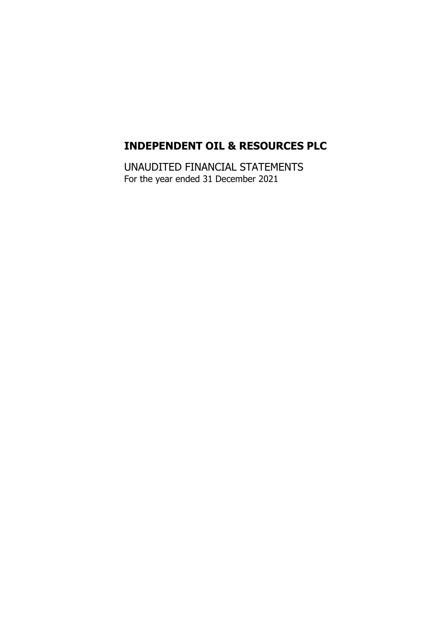UNAUDITED FINANCIAL STATEMENTS For the year ended 31 December 2021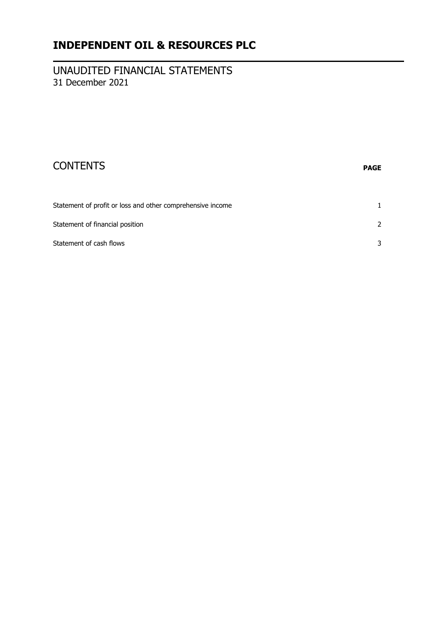#### UNAUDITED FINANCIAL STATEMENTS 31 December 2021

| <b>CONTENTS</b>                                            | <b>PAGE</b> |
|------------------------------------------------------------|-------------|
| Statement of profit or loss and other comprehensive income |             |

| Statement of financial position |  |
|---------------------------------|--|
| Statement of cash flows         |  |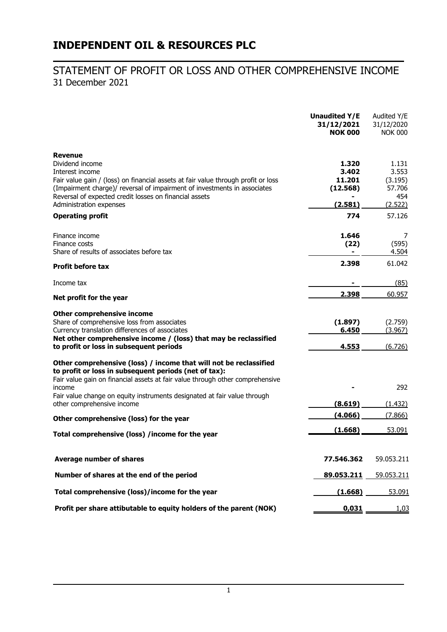#### STATEMENT OF PROFIT OR LOSS AND OTHER COMPREHENSIVE INCOME 31 December 2021

|                                                                                                                                        | <b>Unaudited Y/E</b><br>31/12/2021<br><b>NOK 000</b> | Audited Y/E<br>31/12/2020<br><b>NOK 000</b> |
|----------------------------------------------------------------------------------------------------------------------------------------|------------------------------------------------------|---------------------------------------------|
| <b>Revenue</b>                                                                                                                         |                                                      |                                             |
| Dividend income                                                                                                                        | 1.320<br>3.402                                       | 1.131<br>3.553                              |
| Interest income<br>Fair value gain / (loss) on financial assets at fair value through profit or loss                                   | 11.201                                               | (3.195)                                     |
| (Impairment charge)/ reversal of impairment of investments in associates                                                               | (12.568)                                             | 57.706                                      |
| Reversal of expected credit losses on financial assets                                                                                 |                                                      | 454                                         |
| Administration expenses                                                                                                                | (2.581)                                              | (2.522)                                     |
| <b>Operating profit</b>                                                                                                                | 774                                                  | 57.126                                      |
| Finance income                                                                                                                         | 1.646                                                | 7                                           |
| Finance costs                                                                                                                          | (22)                                                 | (595)                                       |
| Share of results of associates before tax                                                                                              |                                                      | 4.504                                       |
| <b>Profit before tax</b>                                                                                                               | 2.398                                                | 61.042                                      |
| Income tax                                                                                                                             |                                                      | (85)                                        |
| Net profit for the year                                                                                                                | 2.398                                                | 60.957                                      |
| <b>Other comprehensive income</b>                                                                                                      |                                                      |                                             |
| Share of comprehensive loss from associates                                                                                            | (1.897)                                              | (2.759)                                     |
| Currency translation differences of associates<br>Net other comprehensive income / (loss) that may be reclassified                     | 6.450                                                | (3.967)                                     |
| to profit or loss in subsequent periods                                                                                                | 4.553                                                | (6.726)                                     |
| Other comprehensive (loss) / income that will not be reclassified                                                                      |                                                      |                                             |
| to profit or loss in subsequent periods (net of tax):<br>Fair value gain on financial assets at fair value through other comprehensive |                                                      |                                             |
| income                                                                                                                                 |                                                      | 292                                         |
| Fair value change on equity instruments designated at fair value through                                                               |                                                      |                                             |
| other comprehensive income                                                                                                             | (8.619)                                              | (1.432)                                     |
| Other comprehensive (loss) for the year                                                                                                | (4.066)                                              | (7.866)                                     |
| Total comprehensive (loss) /income for the year                                                                                        | (1.668)                                              | 53.091                                      |
|                                                                                                                                        |                                                      |                                             |
| <b>Average number of shares</b>                                                                                                        | 77.546.362                                           | 59.053.211                                  |
| Number of shares at the end of the period                                                                                              | 89.053.211                                           | 59.053.211                                  |
| Total comprehensive (loss)/income for the year                                                                                         | (1.668)                                              | 53.091                                      |
| Profit per share attibutable to equity holders of the parent (NOK)                                                                     | 0,031                                                | <u>1,03</u>                                 |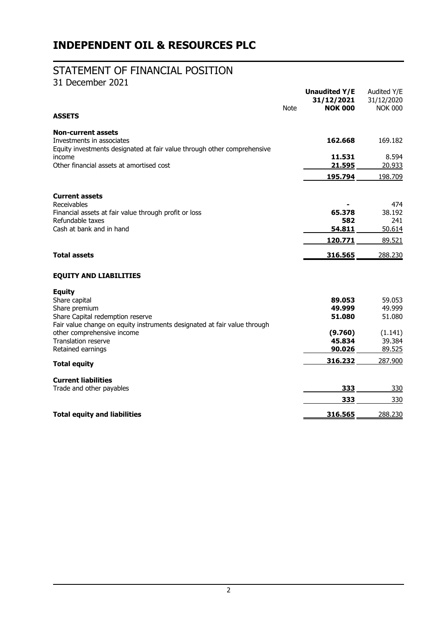### STATEMENT OF FINANCIAL POSITION

31 December 2021

|                                                                                                                                                           | <b>Note</b> | <b>Unaudited Y/E</b><br>31/12/2021<br><b>NOK 000</b> | Audited Y/E<br>31/12/2020<br><b>NOK 000</b> |
|-----------------------------------------------------------------------------------------------------------------------------------------------------------|-------------|------------------------------------------------------|---------------------------------------------|
| <b>ASSETS</b>                                                                                                                                             |             |                                                      |                                             |
| <b>Non-current assets</b><br>Investments in associates<br>Equity investments designated at fair value through other comprehensive                         |             | 162.668                                              | 169.182                                     |
| income<br>Other financial assets at amortised cost                                                                                                        |             | 11.531<br>21.595                                     | 8.594<br>20.933                             |
|                                                                                                                                                           |             | 195.794                                              | 198.709                                     |
| <b>Current assets</b><br>Receivables                                                                                                                      |             |                                                      | 474                                         |
| Financial assets at fair value through profit or loss<br>Refundable taxes                                                                                 |             | 65.378<br>582                                        | 38.192<br>241                               |
| Cash at bank and in hand                                                                                                                                  |             | 54.811<br>120.771                                    | 50.614<br>89.521                            |
| <b>Total assets</b>                                                                                                                                       |             | 316.565                                              | 288.230                                     |
| <b>EQUITY AND LIABILITIES</b>                                                                                                                             |             |                                                      |                                             |
| <b>Equity</b><br>Share capital<br>Share premium<br>Share Capital redemption reserve                                                                       |             | 89.053<br>49.999<br>51.080                           | 59.053<br>49.999<br>51.080                  |
| Fair value change on equity instruments designated at fair value through<br>other comprehensive income<br><b>Translation reserve</b><br>Retained earnings |             | (9.760)<br>45.834<br>90.026                          | (1.141)<br>39.384<br>89.525                 |
| <b>Total equity</b>                                                                                                                                       |             | 316.232                                              | 287.900                                     |
| <b>Current liabilities</b>                                                                                                                                |             |                                                      |                                             |
| Trade and other payables                                                                                                                                  |             | 333                                                  | 330                                         |
|                                                                                                                                                           |             | 333                                                  | 330                                         |
| <b>Total equity and liabilities</b>                                                                                                                       |             | 316.565                                              | 288.230                                     |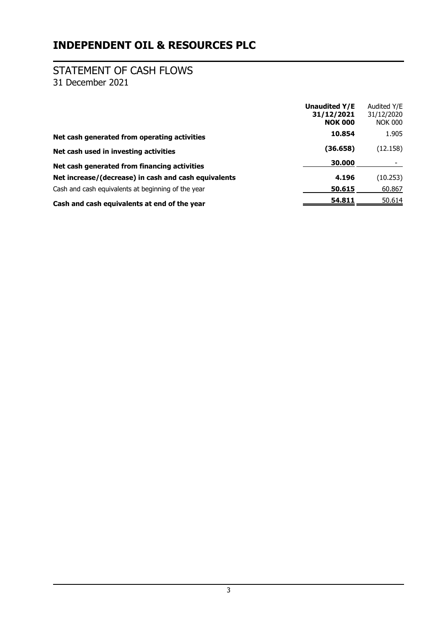# STATEMENT OF CASH FLOWS

31 December 2021

|                                                      | <b>Unaudited Y/E</b><br>31/12/2021<br><b>NOK 000</b> | Audited Y/E<br>31/12/2020<br><b>NOK 000</b> |
|------------------------------------------------------|------------------------------------------------------|---------------------------------------------|
| Net cash generated from operating activities         | 10.854                                               | 1.905                                       |
| Net cash used in investing activities                | (36.658)                                             | (12.158)                                    |
| Net cash generated from financing activities         | 30,000                                               |                                             |
| Net increase/(decrease) in cash and cash equivalents | 4.196                                                | (10.253)                                    |
| Cash and cash equivalents at beginning of the year   | 50.615                                               | 60.867                                      |
| Cash and cash equivalents at end of the year         | 54.811                                               | 50.614                                      |